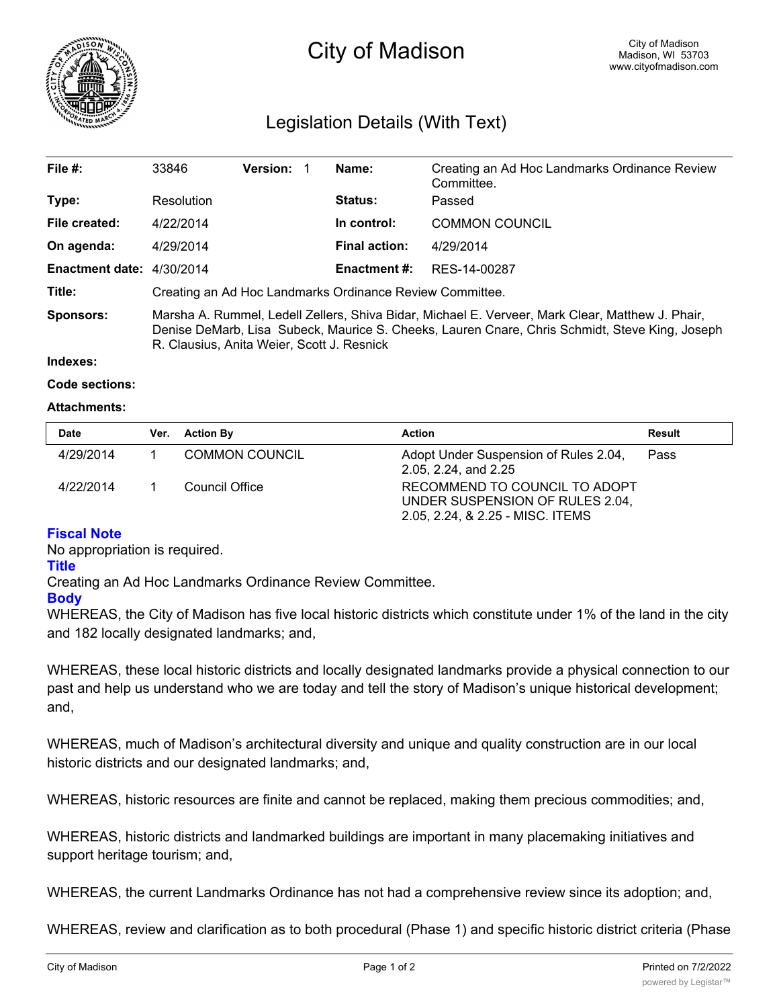

# City of Madison

# Legislation Details (With Text)

| File $#$ :                | 33846                                                                                                                                                                                                                                            | <b>Version:</b> |  | Name:                | Creating an Ad Hoc Landmarks Ordinance Review |  |
|---------------------------|--------------------------------------------------------------------------------------------------------------------------------------------------------------------------------------------------------------------------------------------------|-----------------|--|----------------------|-----------------------------------------------|--|
|                           |                                                                                                                                                                                                                                                  |                 |  |                      | Committee.                                    |  |
| Type:                     | Resolution                                                                                                                                                                                                                                       |                 |  | <b>Status:</b>       | Passed                                        |  |
| File created:             | 4/22/2014                                                                                                                                                                                                                                        |                 |  | In control:          | <b>COMMON COUNCIL</b>                         |  |
| On agenda:                | 4/29/2014                                                                                                                                                                                                                                        |                 |  | <b>Final action:</b> | 4/29/2014                                     |  |
| Enactment date: 4/30/2014 |                                                                                                                                                                                                                                                  |                 |  | <b>Enactment #:</b>  | RES-14-00287                                  |  |
| Title:                    | Creating an Ad Hoc Landmarks Ordinance Review Committee.                                                                                                                                                                                         |                 |  |                      |                                               |  |
| <b>Sponsors:</b>          | Marsha A. Rummel, Ledell Zellers, Shiva Bidar, Michael E. Verveer, Mark Clear, Matthew J. Phair,<br>Denise DeMarb, Lisa Subeck, Maurice S. Cheeks, Lauren Cnare, Chris Schmidt, Steve King, Joseph<br>R. Clausius, Anita Weier, Scott J. Resnick |                 |  |                      |                                               |  |

#### **Indexes:**

#### **Code sections:**

#### **Attachments:**

| <b>Date</b> | Ver. Action By | <b>Action</b>                                                                                        | Result |
|-------------|----------------|------------------------------------------------------------------------------------------------------|--------|
| 4/29/2014   | COMMON COUNCIL | Adopt Under Suspension of Rules 2.04,<br>2.05, 2.24, and 2.25                                        | Pass   |
| 4/22/2014   | Council Office | RECOMMEND TO COUNCIL TO ADOPT<br>UNDER SUSPENSION OF RULES 2.04.<br>2.05, 2.24, & 2.25 - MISC. ITEMS |        |

## **Fiscal Note**

No appropriation is required.

#### **Title**

Creating an Ad Hoc Landmarks Ordinance Review Committee.

## **Body**

WHEREAS, the City of Madison has five local historic districts which constitute under 1% of the land in the city and 182 locally designated landmarks; and,

WHEREAS, these local historic districts and locally designated landmarks provide a physical connection to our past and help us understand who we are today and tell the story of Madison's unique historical development; and,

WHEREAS, much of Madison's architectural diversity and unique and quality construction are in our local historic districts and our designated landmarks; and,

WHEREAS, historic resources are finite and cannot be replaced, making them precious commodities; and,

WHEREAS, historic districts and landmarked buildings are important in many placemaking initiatives and support heritage tourism; and,

WHEREAS, the current Landmarks Ordinance has not had a comprehensive review since its adoption; and,

WHEREAS, review and clarification as to both procedural (Phase 1) and specific historic district criteria (Phase